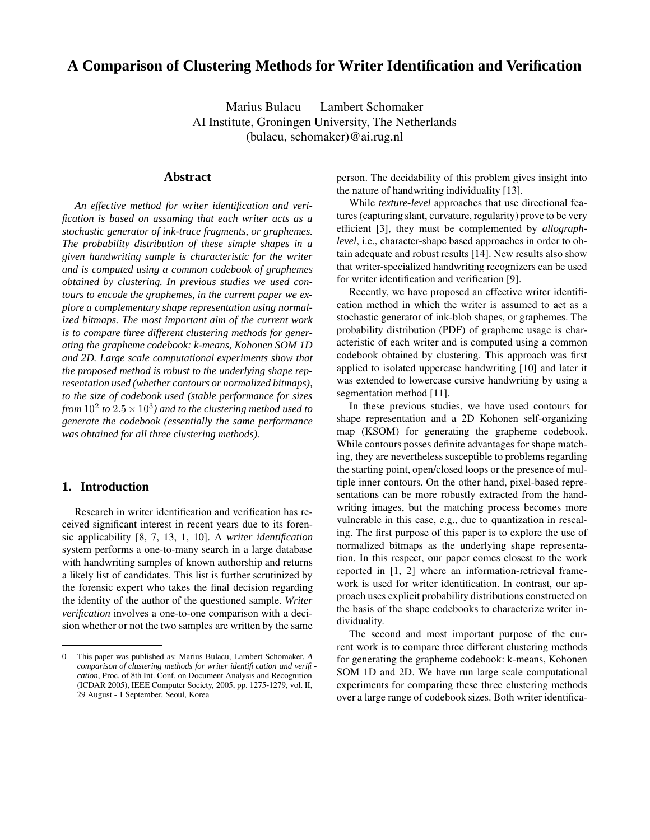# **A Comparison of Clustering Methods for Writer Identification and Verification**

Marius Bulacu Lambert Schomaker AI Institute, Groningen University, The Netherlands (bulacu, schomaker)@ai.rug.nl

### **Abstract**

*An effective method for writer identification and verification is based on assuming that each writer acts as a stochastic generator of ink-trace fragments, or graphemes. The probability distribution of these simple shapes in a given handwriting sample is characteristic for the writer and is computed using a common codebook of graphemes obtained by clustering. In previous studies we used contours to encode the graphemes, in the current paper we explore a complementary shape representation using normalized bitmaps. The most important aim of the current work is to compare three different clustering methods for generating the grapheme codebook: k-means, Kohonen SOM 1D and 2D. Large scale computational experiments show that the proposed method is robust to the underlying shape representation used (whether contours or normalized bitmaps), to the size of codebook used (stable performance for sizes from*  $10^2$  *to*  $2.5 \times 10^3$ *) and to the clustering method used to generate the codebook (essentially the same performance was obtained for all three clustering methods).*

## **1. Introduction**

Research in writer identification and verification has received significant interest in recent years due to its forensic applicability [8, 7, 13, 1, 10]. A *writer identification* system performs a one-to-many search in a large database with handwriting samples of known authorship and returns a likely list of candidates. This list is further scrutinized by the forensic expert who takes the final decision regarding the identity of the author of the questioned sample. *Writer verification* involves a one-to-one comparison with a decision whether or not the two samples are written by the same

person. The decidability of this problem gives insight into the nature of handwriting individuality [13].

While *texture-level* approaches that use directional features (capturing slant, curvature, regularity) prove to be very efficient [3], they must be complemented by *allographlevel*, i.e., character-shape based approaches in order to obtain adequate and robust results [14]. New results also show that writer-specialized handwriting recognizers can be used for writer identification and verification [9].

Recently, we have proposed an effective writer identification method in which the writer is assumed to act as a stochastic generator of ink-blob shapes, or graphemes. The probability distribution (PDF) of grapheme usage is characteristic of each writer and is computed using a common codebook obtained by clustering. This approach was first applied to isolated uppercase handwriting [10] and later it was extended to lowercase cursive handwriting by using a segmentation method [11].

In these previous studies, we have used contours for shape representation and a 2D Kohonen self-organizing map (KSOM) for generating the grapheme codebook. While contours posses definite advantages for shape matching, they are nevertheless susceptible to problems regarding the starting point, open/closed loops or the presence of multiple inner contours. On the other hand, pixel-based representations can be more robustly extracted from the handwriting images, but the matching process becomes more vulnerable in this case, e.g., due to quantization in rescaling. The first purpose of this paper is to explore the use of normalized bitmaps as the underlying shape representation. In this respect, our paper comes closest to the work reported in [1, 2] where an information-retrieval framework is used for writer identification. In contrast, our approach uses explicit probability distributions constructed on the basis of the shape codebooks to characterize writer individuality.

The second and most important purpose of the current work is to compare three different clustering methods for generating the grapheme codebook: k-means, Kohonen SOM 1D and 2D. We have run large scale computational experiments for comparing these three clustering methods over a large range of codebook sizes. Both writer identifica-

<sup>0</sup> This paper was published as: Marius Bulacu, Lambert Schomaker, *A comparison of clustering methods for writer identification and verification*, Proc. of 8th Int. Conf. on Document Analysis and Recognition (ICDAR 2005), IEEE Computer Society, 2005, pp. 1275-1279, vol. II, 29 August - 1 September, Seoul, Korea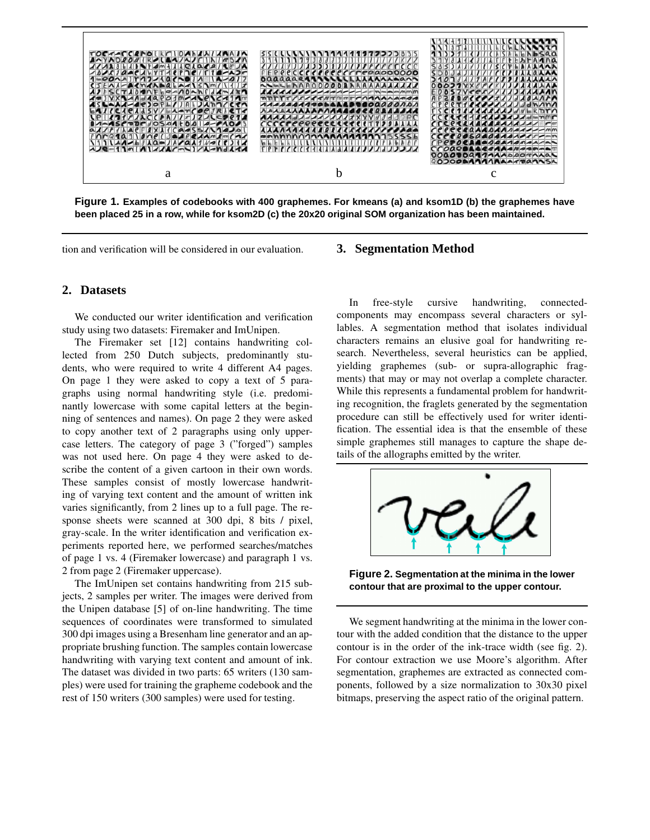

**Figure 1. Examples of codebooks with 400 graphemes. For kmeans (a) and ksom1D (b) the graphemes have** been placed 25 in a row, while for ksom2D (c) the 20x20 original SOM organization has been maintained.

tion and verification will be considered in our evaluation.

## **2. Datasets**

We conducted our writer identification and verification study using two datasets: Firemaker and ImUnipen.

The Firemaker set [12] contains handwriting collected from 250 Dutch subjects, predominantly students, who were required to write 4 different A4 pages. On page 1 they were asked to copy a text of 5 paragraphs using normal handwriting style (i.e. predominantly lowercase with some capital letters at the beginning of sentences and names). On page 2 they were asked to copy another text of 2 paragraphs using only uppercase letters. The category of page 3 ("forged") samples was not used here. On page 4 they were asked to describe the content of a given cartoon in their own words. These samples consist of mostly lowercase handwriting of varying text content and the amount of written ink varies significantly, from 2 lines up to a full page. The response sheets were scanned at 300 dpi, 8 bits / pixel, gray-scale. In the writer identification and verification experiments reported here, we performed searches/matches of page 1 vs. 4 (Firemaker lowercase) and paragraph 1 vs. 2 from page 2 (Firemaker uppercase).

The ImUnipen set contains handwriting from 215 subjects, 2 samples per writer. The images were derived from the Unipen database [5] of on-line handwriting. The time sequences of coordinates were transformed to simulated 300 dpi images using a Bresenham line generator and an appropriate brushing function. The samples contain lowercase handwriting with varying text content and amount of ink. The dataset was divided in two parts: 65 writers (130 samples) were used for training the grapheme codebook and the rest of 150 writers (300 samples) were used for testing.

#### **3. Segmentation Method**

In free-style cursive handwriting, connectedcomponents may encompass several characters or syllables. A segmentation method that isolates individual characters remains an elusive goal for handwriting research. Nevertheless, several heuristics can be applied, yielding graphemes (sub- or supra-allographic fragments) that may or may not overlap a complete character. While this represents a fundamental problem for handwriting recognition, the fraglets generated by the segmentation procedure can still be effectively used for writer identification. The essential idea is that the ensemble of these simple graphemes still manages to capture the shape details of the allographs emitted by the writer.



**Figure 2. Segmentation at the minima in the lower contour that are proximal to the upper contour.**

We segment handwriting at the minima in the lower contour with the added condition that the distance to the upper contour is in the order of the ink-trace width (see fig. 2). For contour extraction we use Moore's algorithm. After segmentation, graphemes are extracted as connected components, followed by a size normalization to 30x30 pixel bitmaps, preserving the aspect ratio of the original pattern.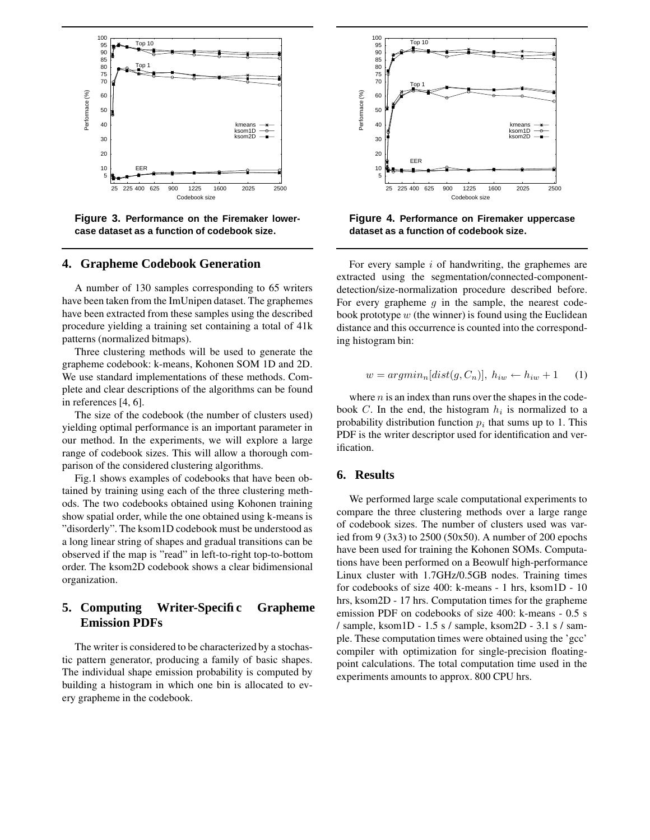

**Figure 3. Performance on the Firemaker lowercase dataset as a function of codebook size.**

## **4. Grapheme Codebook Generation**

A number of 130 samples corresponding to 65 writers have been taken from the ImUnipen dataset. The graphemes have been extracted from these samples using the described procedure yielding a training set containing a total of 41k patterns (normalized bitmaps).

Three clustering methods will be used to generate the grapheme codebook: k-means, Kohonen SOM 1D and 2D. We use standard implementations of these methods. Complete and clear descriptions of the algorithms can be found in references [4, 6].

The size of the codebook (the number of clusters used) yielding optimal performance is an important parameter in our method. In the experiments, we will explore a large range of codebook sizes. This will allow a thorough comparison of the considered clustering algorithms.

Fig.1 shows examples of codebooks that have been obtained by training using each of the three clustering methods. The two codebooks obtained using Kohonen training show spatial order, while the one obtained using k-means is "disorderly". The ksom1D codebook must be understood as a long linear string of shapes and gradual transitions can be observed if the map is "read" in left-to-right top-to-bottom order. The ksom2D codebook shows a clear bidimensional organization.

# **5. Computing Writer-Specific Grapheme Emission PDFs**

The writer is considered to be characterized by a stochastic pattern generator, producing a family of basic shapes. The individual shape emission probability is computed by building a histogram in which one bin is allocated to every grapheme in the codebook.



**Figure 4. Performance on Firemaker uppercase dataset as a function of codebook size.**

For every sample i of handwriting, the graphemes are extracted using the segmentation/connected-componentdetection/size-normalization procedure described before. For every grapheme  $g$  in the sample, the nearest codebook prototype  $w$  (the winner) is found using the Euclidean distance and this occurrence is counted into the corresponding histogram bin:

$$
w = argmin_{n}[dist(g, C_{n})], h_{iw} \leftarrow h_{iw} + 1 \qquad (1)
$$

where  $n$  is an index than runs over the shapes in the codebook C. In the end, the histogram  $h_i$  is normalized to a probability distribution function  $p_i$  that sums up to 1. This PDF is the writer descriptor used for identification and verification.

# **6. Results**

We performed large scale computational experiments to compare the three clustering methods over a large range of codebook sizes. The number of clusters used was varied from 9 (3x3) to 2500 (50x50). A number of 200 epochs have been used for training the Kohonen SOMs. Computations have been performed on a Beowulf high-performance Linux cluster with 1.7GHz/0.5GB nodes. Training times for codebooks of size 400: k-means - 1 hrs, ksom1D - 10 hrs, ksom2D - 17 hrs. Computation times for the grapheme emission PDF on codebooks of size 400: k-means - 0.5 s / sample, ksom1D - 1.5 s / sample, ksom2D - 3.1 s / sample. These computation times were obtained using the 'gcc' compiler with optimization for single-precision floatingpoint calculations. The total computation time used in the experiments amounts to approx. 800 CPU hrs.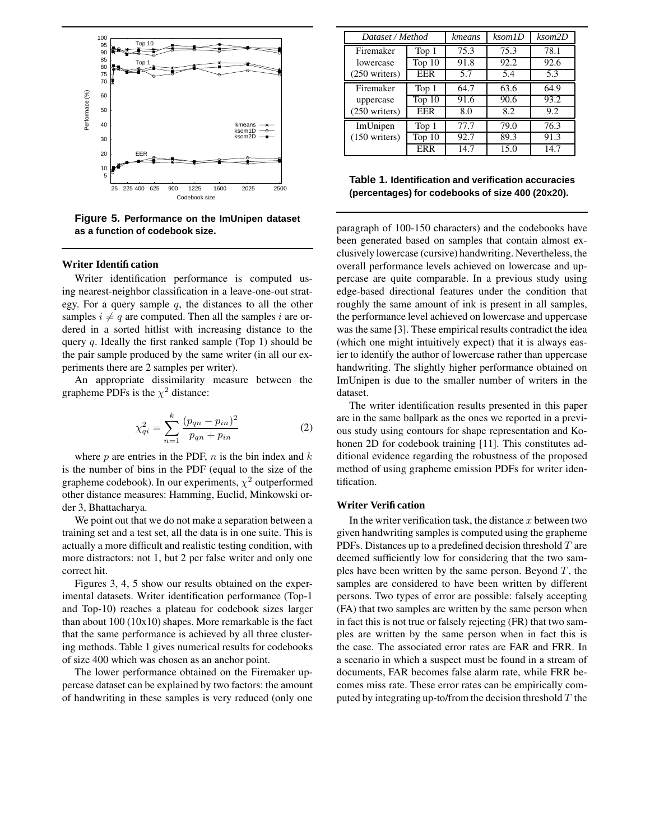

**Figure 5. Performance on the ImUnipen dataset as a function of codebook size.**

#### **Writer Identification**

Writer identification performance is computed using nearest-neighbor classification in a leave-one-out strategy. For a query sample  $q$ , the distances to all the other samples  $i \neq q$  are computed. Then all the samples i are ordered in a sorted hitlist with increasing distance to the query  $q$ . Ideally the first ranked sample (Top 1) should be the pair sample produced by the same writer (in all our experiments there are 2 samples per writer).

An appropriate dissimilarity measure between the grapheme PDFs is the  $\chi^2$  distance:

$$
\chi_{qi}^{2} = \sum_{n=1}^{k} \frac{(p_{qn} - p_{in})^{2}}{p_{qn} + p_{in}} \tag{2}
$$

where  $p$  are entries in the PDF,  $n$  is the bin index and  $k$ is the number of bins in the PDF (equal to the size of the grapheme codebook). In our experiments,  $\chi^2$  outperformed other distance measures: Hamming, Euclid, Minkowski order 3, Bhattacharya.

We point out that we do not make a separation between a training set and a test set, all the data is in one suite. This is actually a more difficult and realistic testing condition, with more distractors: not 1, but 2 per false writer and only one correct hit.

Figures 3, 4, 5 show our results obtained on the experimental datasets. Writer identification performance (Top-1 and Top-10) reaches a plateau for codebook sizes larger than about 100 (10x10) shapes. More remarkable is the fact that the same performance is achieved by all three clustering methods. Table 1 gives numerical results for codebooks of size 400 which was chosen as an anchor point.

The lower performance obtained on the Firemaker uppercase dataset can be explained by two factors: the amount of handwriting in these samples is very reduced (only one

| Dataset / Method        |                   | kmeans | ksom1D | ksom2D |
|-------------------------|-------------------|--------|--------|--------|
| Firemaker               | Top 1             | 75.3   | 75.3   | 78.1   |
| lowercase               | Top $10$          | 91.8   | 92.2   | 92.6   |
| $(250 \text{ writers})$ | <b>EER</b>        | 5.7    | 5.4    | 5.3    |
| Firemaker               | Top 1             | 64.7   | 63.6   | 64.9   |
| uppercase               | Top <sub>10</sub> | 91.6   | 90.6   | 93.2   |
| (250 writers)           | <b>EER</b>        | 8.0    | 8.2    | 9.2    |
| ImUnipen                | Top 1             | 77.7   | 79.0   | 76.3   |
| $(150 \text{ writers})$ | Top $10$          | 92.7   | 89.3   | 91.3   |
|                         | ERR               | 14.7   | 15.0   | 14.7   |

**Table 1. Identification and verification accuracies (percentages) for codebooks of size 400 (20x20).**

paragraph of 100-150 characters) and the codebooks have been generated based on samples that contain almost exclusively lowercase (cursive) handwriting. Nevertheless, the overall performance levels achieved on lowercase and uppercase are quite comparable. In a previous study using edge-based directional features under the condition that roughly the same amount of ink is present in all samples, the performance level achieved on lowercase and uppercase was the same [3]. These empirical results contradict the idea (which one might intuitively expect) that it is always easier to identify the author of lowercase rather than uppercase handwriting. The slightly higher performance obtained on ImUnipen is due to the smaller number of writers in the dataset.

The writer identification results presented in this paper are in the same ballpark as the ones we reported in a previous study using contours for shape representation and Kohonen 2D for codebook training [11]. This constitutes additional evidence regarding the robustness of the proposed method of using grapheme emission PDFs for writer identification.

#### **Writer Verification**

In the writer verification task, the distance  $x$  between two given handwriting samples is computed using the grapheme PDFs. Distances up to a predefined decision threshold  $T$  are deemed sufficiently low for considering that the two samples have been written by the same person. Beyond  $T$ , the samples are considered to have been written by different persons. Two types of error are possible: falsely accepting (FA) that two samples are written by the same person when in fact this is not true or falsely rejecting (FR) that two samples are written by the same person when in fact this is the case. The associated error rates are FAR and FRR. In a scenario in which a suspect must be found in a stream of documents, FAR becomes false alarm rate, while FRR becomes miss rate. These error rates can be empirically computed by integrating up-to/from the decision threshold  $T$  the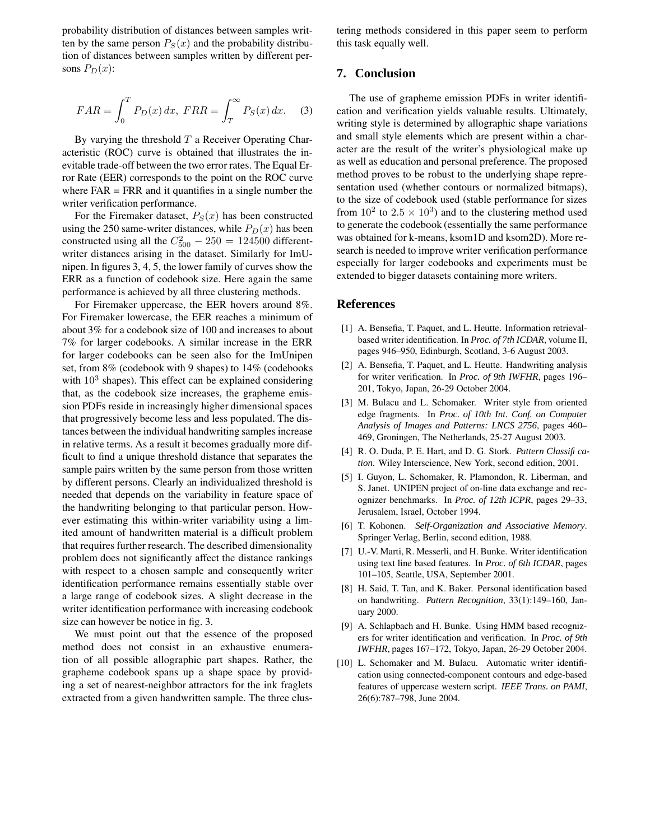probability distribution of distances between samples written by the same person  $P_S(x)$  and the probability distribution of distances between samples written by different persons  $P_D(x)$ :

$$
FAR = \int_0^T P_D(x) dx, FRR = \int_T^\infty P_S(x) dx.
$$
 (3)

By varying the threshold  $T$  a Receiver Operating Characteristic (ROC) curve is obtained that illustrates the inevitable trade-off between the two error rates. The Equal Error Rate (EER) corresponds to the point on the ROC curve where  $FAR = FRR$  and it quantifies in a single number the writer verification performance.

For the Firemaker dataset,  $P_S(x)$  has been constructed using the 250 same-writer distances, while  $P_D(x)$  has been constructed using all the  $C_{500}^2 - 250 = 124500$  differentwriter distances arising in the dataset. Similarly for ImUnipen. In figures 3, 4, 5, the lower family of curves show the ERR as a function of codebook size. Here again the same performance is achieved by all three clustering methods.

For Firemaker uppercase, the EER hovers around 8%. For Firemaker lowercase, the EER reaches a minimum of about 3% for a codebook size of 100 and increases to about 7% for larger codebooks. A similar increase in the ERR for larger codebooks can be seen also for the ImUnipen set, from 8% (codebook with 9 shapes) to 14% (codebooks with  $10^3$  shapes). This effect can be explained considering that, as the codebook size increases, the grapheme emission PDFs reside in increasingly higher dimensional spaces that progressively become less and less populated. The distances between the individual handwriting samples increase in relative terms. As a result it becomes gradually more difficult to find a unique threshold distance that separates the sample pairs written by the same person from those written by different persons. Clearly an individualized threshold is needed that depends on the variability in feature space of the handwriting belonging to that particular person. However estimating this within-writer variability using a limited amount of handwritten material is a difficult problem that requires further research. The described dimensionality problem does not significantly affect the distance rankings with respect to a chosen sample and consequently writer identification performance remains essentially stable over a large range of codebook sizes. A slight decrease in the writer identification performance with increasing codebook size can however be notice in fig. 3.

We must point out that the essence of the proposed method does not consist in an exhaustive enumeration of all possible allographic part shapes. Rather, the grapheme codebook spans up a shape space by providing a set of nearest-neighbor attractors for the ink fraglets extracted from a given handwritten sample. The three clustering methods considered in this paper seem to perform this task equally well.

### **7. Conclusion**

The use of grapheme emission PDFs in writer identification and verification yields valuable results. Ultimately, writing style is determined by allographic shape variations and small style elements which are present within a character are the result of the writer's physiological make up as well as education and personal preference. The proposed method proves to be robust to the underlying shape representation used (whether contours or normalized bitmaps), to the size of codebook used (stable performance for sizes from  $10^2$  to  $2.5 \times 10^3$ ) and to the clustering method used to generate the codebook (essentially the same performance was obtained for k-means, ksom1D and ksom2D). More research is needed to improve writer verification performance especially for larger codebooks and experiments must be extended to bigger datasets containing more writers.

### **References**

- [1] A. Bensefia, T. Paquet, and L. Heutte. Information retrievalbased writer identification. In *Proc. of 7th ICDAR*, volume II, pages 946–950, Edinburgh, Scotland, 3-6 August 2003.
- [2] A. Bensefia, T. Paquet, and L. Heutte. Handwriting analysis for writer verification. In *Proc. of 9th IWFHR*, pages 196– 201, Tokyo, Japan, 26-29 October 2004.
- [3] M. Bulacu and L. Schomaker. Writer style from oriented edge fragments. In *Proc. of 10th Int. Conf. on Computer Analysis of Images and Patterns: LNCS 2756*, pages 460– 469, Groningen, The Netherlands, 25-27 August 2003.
- [4] R. O. Duda, P. E. Hart, and D. G. Stork. *Pattern Classification*. Wiley Interscience, New York, second edition, 2001.
- [5] I. Guyon, L. Schomaker, R. Plamondon, R. Liberman, and S. Janet. UNIPEN project of on-line data exchange and recognizer benchmarks. In *Proc. of 12th ICPR*, pages 29–33, Jerusalem, Israel, October 1994.
- [6] T. Kohonen. *Self-Organization and Associative Memory*. Springer Verlag, Berlin, second edition, 1988.
- [7] U.-V. Marti, R. Messerli, and H. Bunke. Writer identification using text line based features. In *Proc. of 6th ICDAR*, pages 101–105, Seattle, USA, September 2001.
- [8] H. Said, T. Tan, and K. Baker. Personal identification based on handwriting. *Pattern Recognition*, 33(1):149–160, January 2000.
- [9] A. Schlapbach and H. Bunke. Using HMM based recognizers for writer identification and verification. In *Proc. of 9th IWFHR*, pages 167–172, Tokyo, Japan, 26-29 October 2004.
- [10] L. Schomaker and M. Bulacu. Automatic writer identification using connected-component contours and edge-based features of uppercase western script. *IEEE Trans. on PAMI*, 26(6):787–798, June 2004.